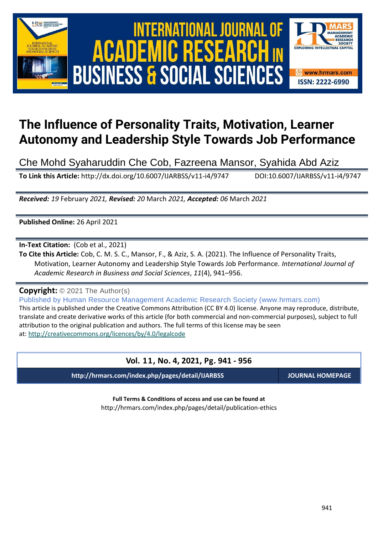





# **The Influence of Personality Traits, Motivation, Learner Autonomy and Leadership Style Towards Job Performance**

Che Mohd Syaharuddin Che Cob, Fazreena Mansor, Syahida Abd Aziz

**To Link this Article:** http://dx.doi.org/10.6007/IJARBSS/v11-i4/9747 DOI:10.6007/IJARBSS/v11-i4/9747

*Received: 19* February *2021, Revised: 20* March *2021, Accepted: 06* March *2021*

**Published Online:** 26 April 2021

**In-Text Citation:** (Cob et al., 2021)

**To Cite this Article:** Cob, C. M. S. C., Mansor, F., & Aziz, S. A. (2021). The Influence of Personality Traits, Motivation, Learner Autonomy and Leadership Style Towards Job Performance. *International Journal of Academic Research in Business and Social Sciences*, *11*(4), 941–956.

**Copyright:** © 2021 The Author(s)

Published by Human Resource Management Academic Research Society (www.hrmars.com) This article is published under the Creative Commons Attribution (CC BY 4.0) license. Anyone may reproduce, distribute, translate and create derivative works of this article (for both commercial and non-commercial purposes), subject to full attribution to the original publication and authors. The full terms of this license may be seen at: <http://creativecommons.org/licences/by/4.0/legalcode>

# **Vol. 11, No. 4, 2021, Pg. 941 - 956**

**http://hrmars.com/index.php/pages/detail/IJARBSS JOURNAL HOMEPAGE**

**Full Terms & Conditions of access and use can be found at** http://hrmars.com/index.php/pages/detail/publication-ethics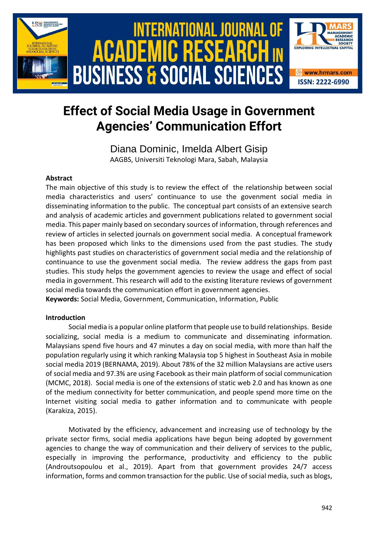

# **Effect of Social Media Usage in Government Agencies' Communication Effort**

Diana Dominic, Imelda Albert Gisip AAGBS, Universiti Teknologi Mara, Sabah, Malaysia

# **Abstract**

The main objective of this study is to review the effect of the relationship between social media characteristics and users' continuance to use the govenment social media in disseminating information to the public. The conceptual part consists of an extensive search and analysis of academic articles and government publications related to government social media. This paper mainly based on secondary sources of information, through references and review of articles in selected journals on government social media. A conceptual framework has been proposed which links to the dimensions used from the past studies. The study highlights past studies on characteristics of government social media and the relationship of continuance to use the govenment social media. The review address the gaps from past studies. This study helps the government agencies to review the usage and effect of social media in government. This research will add to the existing literature reviews of government social media towards the communication effort in government agencies.

**Keywords:** Social Media, Government, Communication, Information, Public

# **Introduction**

Social media is a popular online platform that people use to build relationships. Beside socializing, social media is a medium to communicate and disseminating information. Malaysians spend five hours and 47 minutes a day on social media, with more than half the population regularly using it which ranking Malaysia top 5 highest in Southeast Asia in mobile social media 2019 (BERNAMA, 2019). About 78% of the 32 million Malaysians are active users of social media and 97.3% are using Facebook as their main platform of social communication (MCMC, 2018). Social media is one of the extensions of static web 2.0 and has known as one of the medium connectivity for better communication, and people spend more time on the Internet visiting social media to gather information and to communicate with people (Karakiza, 2015).

Motivated by the efficiency, advancement and increasing use of technology by the private sector firms, social media applications have begun being adopted by government agencies to change the way of communication and their delivery of services to the public, especially in improving the performance, productivity and efficiency to the public (Androutsopoulou et al., 2019). Apart from that government provides 24/7 access information, forms and common transaction for the public. Use of social media, such as blogs,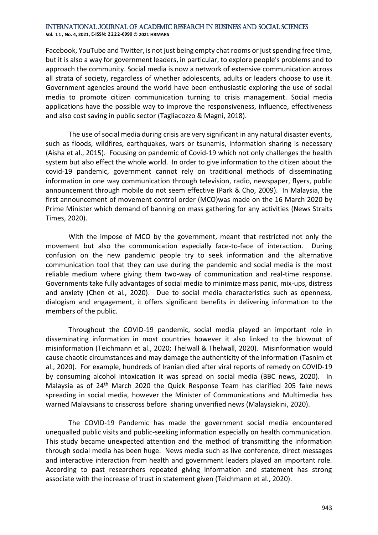**Vol. 1 1 , No. 4, 2021, E-ISSN: 2222-6990 © 2021 HRMARS**

Facebook, YouTube and Twitter, is not just being empty chat rooms or just spending free time, but it is also a way for government leaders, in particular, to explore people's problems and to approach the community. Social media is now a network of extensive communication across all strata of society, regardless of whether adolescents, adults or leaders choose to use it. Government agencies around the world have been enthusiastic exploring the use of social media to promote citizen communication turning to crisis management. Social media applications have the possible way to improve the responsiveness, influence, effectiveness and also cost saving in public sector (Tagliacozzo & Magni, 2018).

The use of social media during crisis are very significant in any natural disaster events, such as floods, wildfires, earthquakes, wars or tsunamis, information sharing is necessary (Aisha et al., 2015). Focusing on pandemic of Covid-19 which not only challenges the health system but also effect the whole world. In order to give information to the citizen about the covid-19 pandemic, government cannot rely on traditional methods of disseminating information in one way communication through television, radio, newspaper, flyers, public announcement through mobile do not seem effective (Park & Cho, 2009). In Malaysia, the first announcement of movement control order (MCO)was made on the 16 March 2020 by Prime Minister which demand of banning on mass gathering for any activities (News Straits Times, 2020).

With the impose of MCO by the government, meant that restricted not only the movement but also the communication especially face-to-face of interaction. During confusion on the new pandemic people try to seek information and the alternative communication tool that they can use during the pandemic and social media is the most reliable medium where giving them two-way of communication and real-time response. Governments take fully advantages of social media to minimize mass panic, mix-ups, distress and anxiety (Chen et al., 2020). Due to social media characteristics such as openness, dialogism and engagement, it offers significant benefits in delivering information to the members of the public.

Throughout the COVID-19 pandemic, social media played an important role in disseminating information in most countries however it also linked to the blowout of misinformation (Teichmann et al., 2020; Thelwall & Thelwall, 2020). Misinformation would cause chaotic circumstances and may damage the authenticity of the information (Tasnim et al., 2020). For example, hundreds of Iranian died after viral reports of remedy on COVID-19 by consuming alcohol intoxication it was spread on social media (BBC news, 2020). In Malaysia as of 24th March 2020 the Quick Response Team has clarified 205 fake news spreading in social media, however the Minister of Communications and Multimedia has warned Malaysians to crisscross before sharing unverified news (Malaysiakini, 2020).

The COVID-19 Pandemic has made the government social media encountered unequalled public visits and public-seeking information especially on health communication. This study became unexpected attention and the method of transmitting the information through social media has been huge. News media such as live conference, direct messages and interactive interaction from health and government leaders played an important role. According to past researchers repeated giving information and statement has strong associate with the increase of trust in statement given (Teichmann et al., 2020).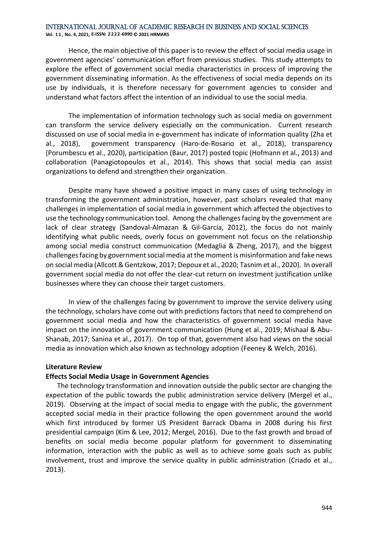**Vol. 1 1 , No. 4, 2021, E-ISSN: 2222-6990 © 2021 HRMARS**

Hence, the main objective of this paper is to review the effect of social media usage in government agencies' communication effort from previous studies. This study attempts to explore the effect of government social media characteristics in process of improving the government disseminating information. As the effectiveness of social media depends on its use by individuals, it is therefore necessary for government agencies to consider and understand what factors affect the intention of an individual to use the social media.

The implementation of information technology such as social media on government can transform the service delivery especially on the communication. Current research discussed on use of social media in e-government has indicate of information quality (Zha et al., 2018), government transparency (Haro-de-Rosario et al., 2018), transparency (Porumbescu et al., 2020), participation (Baur, 2017) posted topic (Hofmann et al., 2013) and collaboration (Panagiotopoulos et al., 2014). This shows that social media can assist organizations to defend and strengthen their organization.

Despite many have showed a positive impact in many cases of using technology in transforming the government administration, however, past scholars revealed that many challenges in implementation of social media in government which affected the objectives to use the technology communication tool. Among the challenges facing by the government are lack of clear strategy (Sandoval-Almazan & Gil-Garcia, 2012), the focus do not mainly identifying what public needs, overly focus on government not focus on the relationship among social media construct communication (Medaglia & Zheng, 2017), and the biggest challenges facing by government social media at the moment is misinformation and fake news on social media (Allcott & Gentzkow, 2017; Depoux et al., 2020; Tasnim et al., 2020). In overall government social media do not offer the clear-cut return on investment justification unlike businesses where they can choose their target customers.

In view of the challenges facing by government to improve the service delivery using the technology, scholars have come out with predictions factors that need to comprehend on government social media and how the characteristics of government social media have impact on the innovation of government communication (Hung et al., 2019; Mishaal & Abu-Shanab, 2017; Sanina et al., 2017). On top of that, government also had views on the social media as innovation which also known as technology adoption (Feeney & Welch, 2016).

# **Literature Review**

#### **Effects Social Media Usage in Government Agencies**

The technology transformation and innovation outside the public sector are changing the expectation of the public towards the public administration service delivery (Mergel et al., 2019). Observing at the impact of social media to engage with the public, the government accepted social media in their practice following the open government around the world which first introduced by former US President Barrack Obama in 2008 during his first presidential campaign (Kim & Lee, 2012; Mergel, 2016). Due to the fast growth and broad of benefits on social media become popular platform for government to disseminating information, interaction with the public as well as to achieve some goals such as public involvement, trust and improve the service quality in public administration (Criado et al., 2013).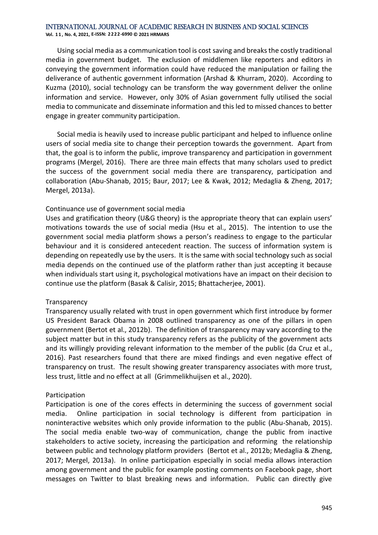**Vol. 1 1 , No. 4, 2021, E-ISSN: 2222-6990 © 2021 HRMARS**

Using social media as a communication tool is cost saving and breaks the costly traditional media in government budget. The exclusion of middlemen like reporters and editors in conveying the government information could have reduced the manipulation or failing the deliverance of authentic government information (Arshad & Khurram, 2020). According to Kuzma (2010), social technology can be transform the way government deliver the online information and service. However, only 30% of Asian government fully utilised the social media to communicate and disseminate information and this led to missed chances to better engage in greater community participation.

Social media is heavily used to increase public participant and helped to influence online users of social media site to change their perception towards the government. Apart from that, the goal is to inform the public, improve transparency and participation in government programs (Mergel, 2016). There are three main effects that many scholars used to predict the success of the government social media there are transparency, participation and collaboration (Abu-Shanab, 2015; Baur, 2017; Lee & Kwak, 2012; Medaglia & Zheng, 2017; Mergel, 2013a).

# Continuance use of government social media

Uses and gratification theory (U&G theory) is the appropriate theory that can explain users' motivations towards the use of social media (Hsu et al., 2015). The intention to use the government social media platform shows a person's readiness to engage to the particular behaviour and it is considered antecedent reaction. The success of information system is depending on repeatedly use by the users. It is the same with social technology such as social media depends on the continued use of the platform rather than just accepting it because when individuals start using it, psychological motivations have an impact on their decision to continue use the platform (Basak & Calisir, 2015; Bhattacherjee, 2001).

# **Transparency**

Transparency usually related with trust in open government which first introduce by former US President Barack Obama in 2008 outlined transparency as one of the pillars in open government (Bertot et al., 2012b). The definition of transparency may vary according to the subject matter but in this study transparency refers as the publicity of the government acts and its willingly providing relevant information to the member of the public (da Cruz et al., 2016). Past researchers found that there are mixed findings and even negative effect of transparency on trust. The result showing greater transparency associates with more trust, less trust, little and no effect at all (Grimmelikhuijsen et al., 2020).

# Participation

Participation is one of the cores effects in determining the success of government social media. Online participation in social technology is different from participation in noninteractive websites which only provide information to the public (Abu-Shanab, 2015). The social media enable two-way of communication, change the public from inactive stakeholders to active society, increasing the participation and reforming the relationship between public and technology platform providers (Bertot et al., 2012b; Medaglia & Zheng, 2017; Mergel, 2013a). In online participation especially in social media allows interaction among government and the public for example posting comments on Facebook page, short messages on Twitter to blast breaking news and information. Public can directly give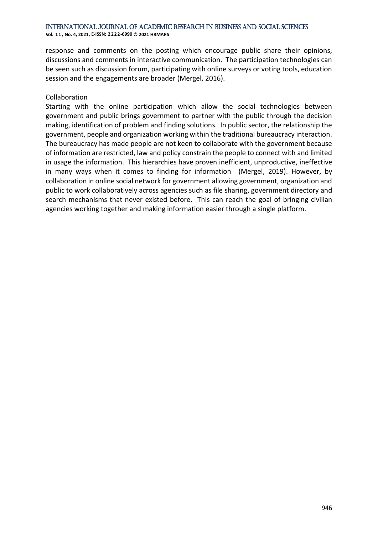**Vol. 1 1 , No. 4, 2021, E-ISSN: 2222-6990 © 2021 HRMARS**

response and comments on the posting which encourage public share their opinions, discussions and comments in interactive communication. The participation technologies can be seen such as discussion forum, participating with online surveys or voting tools, education session and the engagements are broader (Mergel, 2016).

#### Collaboration

Starting with the online participation which allow the social technologies between government and public brings government to partner with the public through the decision making, identification of problem and finding solutions. In public sector, the relationship the government, people and organization working within the traditional bureaucracy interaction. The bureaucracy has made people are not keen to collaborate with the government because of information are restricted, law and policy constrain the people to connect with and limited in usage the information. This hierarchies have proven inefficient, unproductive, ineffective in many ways when it comes to finding for information (Mergel, 2019). However, by collaboration in online social network for government allowing government, organization and public to work collaboratively across agencies such as file sharing, government directory and search mechanisms that never existed before. This can reach the goal of bringing civilian agencies working together and making information easier through a single platform.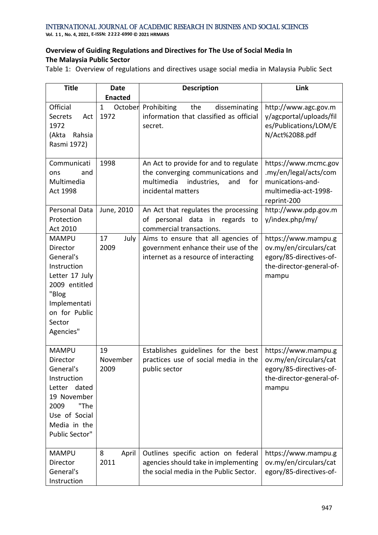**Vol. 1 1 , No. 4, 2021, E-ISSN: 2222-6990 © 2021 HRMARS**

# **Overview of Guiding Regulations and Directives for The Use of Social Media In The Malaysia Public Sector**

Table 1: Overview of regulations and directives usage social media in Malaysia Public Sect

| <b>Title</b>                                                                                                                                             | <b>Date</b><br><b>Enacted</b> | <b>Description</b>                                                                                                                          | Link                                                                                                          |
|----------------------------------------------------------------------------------------------------------------------------------------------------------|-------------------------------|---------------------------------------------------------------------------------------------------------------------------------------------|---------------------------------------------------------------------------------------------------------------|
| Official<br><b>Secrets</b><br>Act<br>1972<br>(Akta<br>Rahsia<br>Rasmi 1972)                                                                              | $\mathbf{1}$<br>1972          | October Prohibiting<br>the<br>disseminating<br>information that classified as official<br>secret.                                           | http://www.agc.gov.m<br>y/agcportal/uploads/fil<br>es/Publications/LOM/E<br>N/Act%2088.pdf                    |
| Communicati<br>and<br>ons<br>Multimedia<br>Act 1998                                                                                                      | 1998                          | An Act to provide for and to regulate<br>the converging communications and<br>multimedia<br>industries,<br>and<br>for<br>incidental matters | https://www.mcmc.gov<br>.my/en/legal/acts/com<br>munications-and-<br>multimedia-act-1998-<br>reprint-200      |
| Personal Data<br>Protection<br>Act 2010                                                                                                                  | June, 2010                    | An Act that regulates the processing<br>personal data in regards to<br>οf<br>commercial transactions.                                       | http://www.pdp.gov.m<br>y/index.php/my/                                                                       |
| <b>MAMPU</b><br>Director<br>General's<br>Instruction<br>Letter 17 July<br>2009 entitled<br>"Blog<br>Implementati<br>on for Public<br>Sector<br>Agencies" | 17<br>July<br>2009            | Aims to ensure that all agencies of<br>government enhance their use of the<br>internet as a resource of interacting                         | https://www.mampu.g<br>ov.my/en/circulars/cat<br>egory/85-directives-of-<br>the-director-general-of-<br>mampu |
| <b>MAMPU</b><br>Director<br>General's<br>Instruction<br>Letter dated<br>19 November<br>"The<br>2009<br>Use of Social<br>Media in the<br>Public Sector"   | 19<br>November<br>2009        | Establishes guidelines for the best<br>practices use of social media in the<br>public sector                                                | https://www.mampu.g<br>ov.my/en/circulars/cat<br>egory/85-directives-of-<br>the-director-general-of-<br>mampu |
| <b>MAMPU</b><br>Director<br>General's<br>Instruction                                                                                                     | 8<br>April<br>2011            | Outlines specific action on federal<br>agencies should take in implementing<br>the social media in the Public Sector.                       | https://www.mampu.g<br>ov.my/en/circulars/cat<br>egory/85-directives-of-                                      |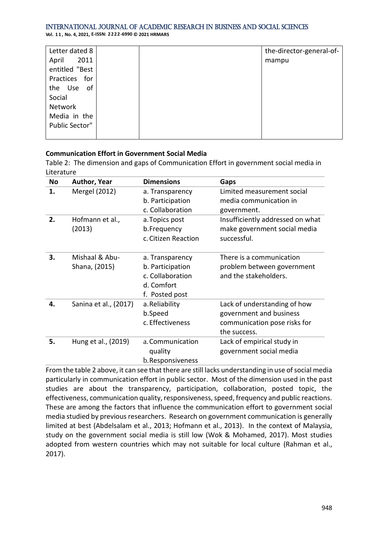**Vol. 1 1 , No. 4, 2021, E-ISSN: 2222-6990 © 2021 HRMARS**

| Letter dated 8 |  | the-director-general-of- |
|----------------|--|--------------------------|
| 2011<br>April  |  | mampu                    |
| entitled "Best |  |                          |
| Practices for  |  |                          |
| the Use of     |  |                          |
| Social         |  |                          |
| Network        |  |                          |
| Media in the   |  |                          |
| Public Sector" |  |                          |
|                |  |                          |

# **Communication Effort in Government Social Media**

Table 2: The dimension and gaps of Communication Effort in government social media in Literature

| <b>No</b> | <b>Author, Year</b>   | <b>Dimensions</b>   | Gaps                             |
|-----------|-----------------------|---------------------|----------------------------------|
| 1.        | Mergel (2012)         | a. Transparency     | Limited measurement social       |
|           |                       | b. Participation    | media communication in           |
|           |                       | c. Collaboration    | government.                      |
| 2.        | Hofmann et al.,       | a. Topics post      | Insufficiently addressed on what |
|           | (2013)                | b.Frequency         | make government social media     |
|           |                       | c. Citizen Reaction | successful.                      |
|           |                       |                     |                                  |
| 3.        | Mishaal & Abu-        | a. Transparency     | There is a communication         |
|           | Shana, (2015)         | b. Participation    | problem between government       |
|           |                       | c. Collaboration    | and the stakeholders.            |
|           |                       | d. Comfort          |                                  |
|           |                       | f. Posted post      |                                  |
| 4.        | Sanina et al., (2017) | a. Reliability      | Lack of understanding of how     |
|           |                       | b.Speed             | government and business          |
|           |                       | c. Effectiveness    | communication pose risks for     |
|           |                       |                     | the success.                     |
| 5.        | Hung et al., (2019)   | a. Communication    | Lack of empirical study in       |
|           |                       | quality             | government social media          |
|           |                       | b. Responsiveness   |                                  |

From the table 2 above, it can see that there are still lacks understanding in use of social media particularly in communication effort in public sector. Most of the dimension used in the past studies are about the transparency, participation, collaboration, posted topic, the effectiveness, communication quality, responsiveness, speed, frequency and public reactions. These are among the factors that influence the communication effort to government social media studied by previous researchers. Research on government communication is generally limited at best (Abdelsalam et al., 2013; Hofmann et al., 2013). In the context of Malaysia, study on the government social media is still low (Wok & Mohamed, 2017). Most studies adopted from western countries which may not suitable for local culture (Rahman et al., 2017).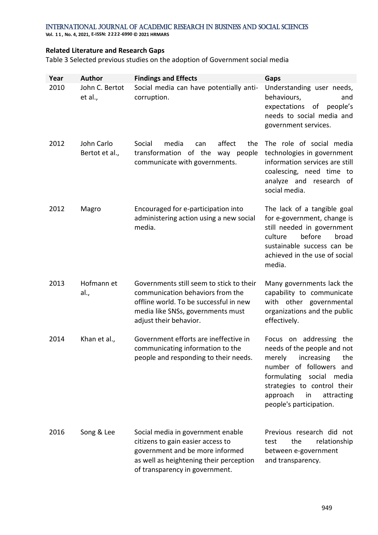**Vol. 1 1 , No. 4, 2021, E-ISSN: 2222-6990 © 2021 HRMARS**

# **Related Literature and Research Gaps**

Table 3 Selected previous studies on the adoption of Government social media

| Year | <b>Author</b>                | <b>Findings and Effects</b>                                                                                                                                                            | Gaps                                                                                                                                                                                                                             |
|------|------------------------------|----------------------------------------------------------------------------------------------------------------------------------------------------------------------------------------|----------------------------------------------------------------------------------------------------------------------------------------------------------------------------------------------------------------------------------|
| 2010 | John C. Bertot<br>et al.,    | Social media can have potentially anti-<br>corruption.                                                                                                                                 | Understanding user needs,<br>behaviours,<br>and<br>expectations of people's<br>needs to social media and<br>government services.                                                                                                 |
| 2012 | John Carlo<br>Bertot et al., | Social<br>affect<br>media<br>the<br>can<br>transformation of the way people<br>communicate with governments.                                                                           | The role of social media<br>technologies in government<br>information services are still<br>coalescing, need time to<br>analyze and research<br>of<br>social media.                                                              |
| 2012 | Magro                        | Encouraged for e-participation into<br>administering action using a new social<br>media.                                                                                               | The lack of a tangible goal<br>for e-government, change is<br>still needed in government<br>before<br>culture<br>broad<br>sustainable success can be<br>achieved in the use of social<br>media.                                  |
| 2013 | Hofmann et<br>al.,           | Governments still seem to stick to their<br>communication behaviors from the<br>offline world. To be successful in new<br>media like SNSs, governments must<br>adjust their behavior.  | Many governments lack the<br>capability to communicate<br>with other governmental<br>organizations and the public<br>effectively.                                                                                                |
| 2014 | Khan et al.,                 | Government efforts are ineffective in<br>communicating information to the<br>people and responding to their needs.                                                                     | Focus on addressing the<br>needs of the people and not<br>merely increasing the<br>number of followers and<br>formulating social media<br>strategies to control their<br>approach<br>in<br>attracting<br>people's participation. |
| 2016 | Song & Lee                   | Social media in government enable<br>citizens to gain easier access to<br>government and be more informed<br>as well as heightening their perception<br>of transparency in government. | Previous research did not<br>the<br>relationship<br>test<br>between e-government<br>and transparency.                                                                                                                            |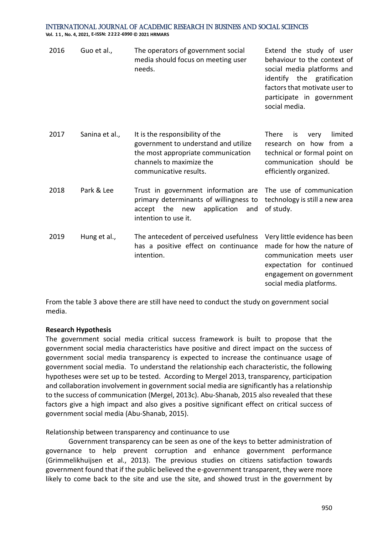**Vol. 1 1 , No. 4, 2021, E-ISSN: 2222-6990 © 2021 HRMARS**

| 2016 | Guo et al.,    | The operators of government social<br>media should focus on meeting user<br>needs.                                                                                  | Extend the study of user<br>behaviour to the context of<br>social media platforms and<br>identify the gratification<br>factors that motivate user to<br>participate in government<br>social media. |
|------|----------------|---------------------------------------------------------------------------------------------------------------------------------------------------------------------|----------------------------------------------------------------------------------------------------------------------------------------------------------------------------------------------------|
| 2017 | Sanina et al., | It is the responsibility of the<br>government to understand and utilize<br>the most appropriate communication<br>channels to maximize the<br>communicative results. | limited<br><b>There</b><br>very<br>is<br>research on how from a<br>technical or formal point on<br>communication should be<br>efficiently organized.                                               |
| 2018 | Park & Lee     | Trust in government information are<br>primary determinants of willingness to<br>the<br>application<br>accept<br>new<br>and<br>intention to use it.                 | The use of communication<br>technology is still a new area<br>of study.                                                                                                                            |
| 2019 | Hung et al.,   | The antecedent of perceived usefulness<br>has a positive effect on continuance<br>intention.                                                                        | Very little evidence has been<br>made for how the nature of<br>communication meets user<br>expectation for continued<br>engagement on government<br>social media platforms.                        |

From the table 3 above there are still have need to conduct the study on government social media.

#### **Research Hypothesis**

The government social media critical success framework is built to propose that the government social media characteristics have positive and direct impact on the success of government social media transparency is expected to increase the continuance usage of government social media. To understand the relationship each characteristic, the following hypotheses were set up to be tested. According to Mergel 2013, transparency, participation and collaboration involvement in government social media are significantly has a relationship to the success of communication (Mergel, 2013c). Abu-Shanab, 2015 also revealed that these factors give a high impact and also gives a positive significant effect on critical success of government social media (Abu-Shanab, 2015).

Relationship between transparency and continuance to use

Government transparency can be seen as one of the keys to better administration of governance to help prevent corruption and enhance government performance (Grimmelikhuijsen et al., 2013). The previous studies on citizens satisfaction towards government found that if the public believed the e-government transparent, they were more likely to come back to the site and use the site, and showed trust in the government by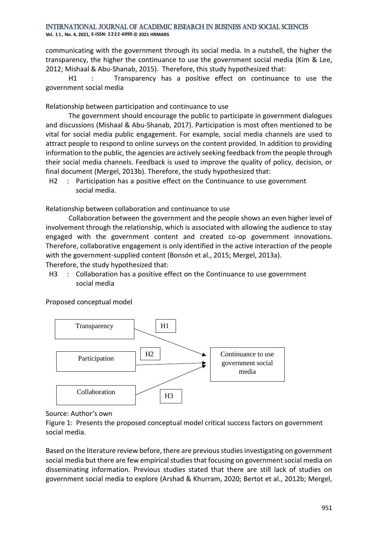**Vol. 1 1 , No. 4, 2021, E-ISSN: 2222-6990 © 2021 HRMARS**

communicating with the government through its social media. In a nutshell, the higher the transparency, the higher the continuance to use the government social media (Kim & Lee, 2012; Mishaal & Abu-Shanab, 2015). Therefore, this study hypothesized that:

H1 : Transparency has a positive effect on continuance to use the government social media

Relationship between participation and continuance to use

The government should encourage the public to participate in government dialogues and discussions (Mishaal & Abu-Shanab, 2017). Participation is most often mentioned to be vital for social media public engagement. For example, social media channels are used to attract people to respond to online surveys on the content provided. In addition to providing information to the public, the agencies are actively seeking feedback from the people through their social media channels. Feedback is used to improve the quality of policy, decision, or final document (Mergel, 2013b). Therefore, the study hypothesized that:

H2 : Participation has a positive effect on the Continuance to use government social media.

Relationship between collaboration and continuance to use

Collaboration between the government and the people shows an even higher level of involvement through the relationship, which is associated with allowing the audience to stay engaged with the government content and created co-op government innovations. Therefore, collaborative engagement is only identified in the active interaction of the people with the government-supplied content (Bonsón et al., 2015; Mergel, 2013a). Therefore, the study hypothesized that:

H3 : Collaboration has a positive effect on the Continuance to use government social media

Proposed conceptual model



Source: Author's own

Figure 1: Presents the proposed conceptual model critical success factors on government social media.

Based on the literature review before, there are previous studies investigating on government social media but there are few empirical studies that focusing on government social media on disseminating information. Previous studies stated that there are still lack of studies on government social media to explore (Arshad & Khurram, 2020; Bertot et al., 2012b; Mergel,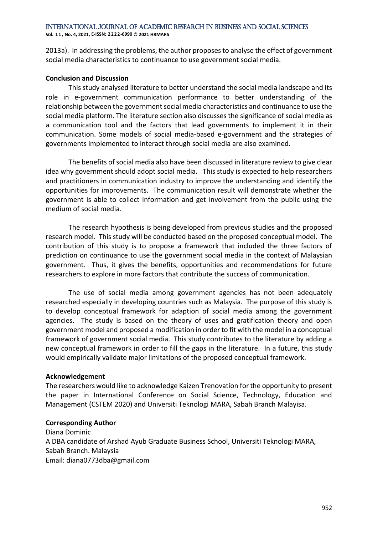**Vol. 1 1 , No. 4, 2021, E-ISSN: 2222-6990 © 2021 HRMARS**

2013a). In addressing the problems, the author proposes to analyse the effect of government social media characteristics to continuance to use government social media.

# **Conclusion and Discussion**

This study analysed literature to better understand the social media landscape and its role in e-government communication performance to better understanding of the relationship between the government social media characteristics and continuance to use the social media platform. The literature section also discusses the significance of social media as a communication tool and the factors that lead governments to implement it in their communication. Some models of social media-based e-government and the strategies of governments implemented to interact through social media are also examined.

The benefits of social media also have been discussed in literature review to give clear idea why government should adopt social media. This study is expected to help researchers and practitioners in communication industry to improve the understanding and identify the opportunities for improvements. The communication result will demonstrate whether the government is able to collect information and get involvement from the public using the medium of social media.

The research hypothesis is being developed from previous studies and the proposed research model. This study will be conducted based on the proposed conceptual model. The contribution of this study is to propose a framework that included the three factors of prediction on continuance to use the government social media in the context of Malaysian government. Thus, it gives the benefits, opportunities and recommendations for future researchers to explore in more factors that contribute the success of communication.

The use of social media among government agencies has not been adequately researched especially in developing countries such as Malaysia. The purpose of this study is to develop conceptual framework for adaption of social media among the government agencies. The study is based on the theory of uses and gratification theory and open government model and proposed a modification in order to fit with the model in a conceptual framework of government social media. This study contributes to the literature by adding a new conceptual framework in order to fill the gaps in the literature. In a future, this study would empirically validate major limitations of the proposed conceptual framework.

# **Acknowledgement**

The researchers would like to acknowledge Kaizen Trenovation for the opportunity to present the paper in International Conference on Social Science, Technology, Education and Management (CSTEM 2020) and Universiti Teknologi MARA, Sabah Branch Malayisa.

# **Corresponding Author**

Diana Dominic A DBA candidate of Arshad Ayub Graduate Business School, Universiti Teknologi MARA, Sabah Branch. Malaysia Email: diana0773dba@gmail.com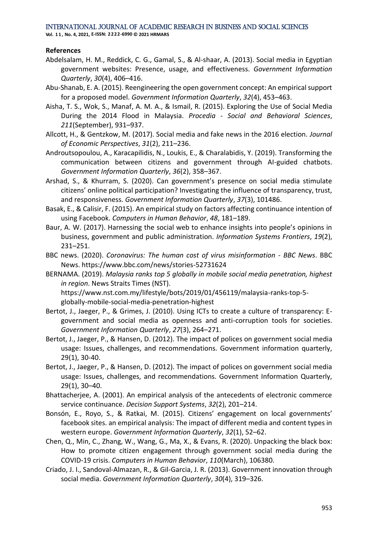**Vol. 1 1 , No. 4, 2021, E-ISSN: 2222-6990 © 2021 HRMARS**

# **References**

- Abdelsalam, H. M., Reddick, C. G., Gamal, S., & Al-shaar, A. (2013). Social media in Egyptian government websites: Presence, usage, and effectiveness. *Government Information Quarterly*, *30*(4), 406–416.
- Abu-Shanab, E. A. (2015). Reengineering the open government concept: An empirical support for a proposed model. *Government Information Quarterly*, *32*(4), 453–463.
- Aisha, T. S., Wok, S., Manaf, A. M. A., & Ismail, R. (2015). Exploring the Use of Social Media During the 2014 Flood in Malaysia. *Procedia - Social and Behavioral Sciences*, *211*(September), 931–937.
- Allcott, H., & Gentzkow, M. (2017). Social media and fake news in the 2016 election. *Journal of Economic Perspectives*, *31*(2), 211–236.
- Androutsopoulou, A., Karacapilidis, N., Loukis, E., & Charalabidis, Y. (2019). Transforming the communication between citizens and government through AI-guided chatbots. *Government Information Quarterly*, *36*(2), 358–367.
- Arshad, S., & Khurram, S. (2020). Can government's presence on social media stimulate citizens' online political participation? Investigating the influence of transparency, trust, and responsiveness. *Government Information Quarterly*, *37*(3), 101486.
- Basak, E., & Calisir, F. (2015). An empirical study on factors affecting continuance intention of using Facebook. *Computers in Human Behavior*, *48*, 181–189.
- Baur, A. W. (2017). Harnessing the social web to enhance insights into people's opinions in business, government and public administration. *Information Systems Frontiers*, *19*(2), 231–251.
- BBC news. (2020). *Coronavirus: The human cost of virus misinformation - BBC News*. BBC News. https://www.bbc.com/news/stories-52731624
- BERNAMA. (2019). *Malaysia ranks top 5 globally in mobile social media penetration, highest in region*. News Straits Times (NST). https://www.nst.com.my/lifestyle/bots/2019/01/456119/malaysia-ranks-top-5
	- globally-mobile-social-media-penetration-highest
- Bertot, J., Jaeger, P., & Grimes, J. (2010). Using ICTs to create a culture of transparency: Egovernment and social media as openness and anti-corruption tools for societies. *Government Information Quarterly*, *27*(3), 264–271.
- Bertot, J., Jaeger, P., & Hansen, D. (2012). The impact of polices on government social media usage: Issues, challenges, and recommendations. Government information quarterly, 29(1), 30-40.
- Bertot, J., Jaeger, P., & Hansen, D. (2012). The impact of polices on government social media usage: Issues, challenges, and recommendations. Government Information Quarterly, 29(1), 30–40.
- Bhattacherjee, A. (2001). An empirical analysis of the antecedents of electronic commerce service continuance. *Decision Support Systems*, *32*(2), 201–214.
- Bonsón, E., Royo, S., & Ratkai, M. (2015). Citizens' engagement on local governments' facebook sites. an empirical analysis: The impact of different media and content types in western europe. *Government Information Quarterly*, *32*(1), 52–62.
- Chen, Q., Min, C., Zhang, W., Wang, G., Ma, X., & Evans, R. (2020). Unpacking the black box: How to promote citizen engagement through government social media during the COVID-19 crisis. *Computers in Human Behavior*, *110*(March), 106380.
- Criado, J. I., Sandoval-Almazan, R., & Gil-Garcia, J. R. (2013). Government innovation through social media. *Government Information Quarterly*, *30*(4), 319–326.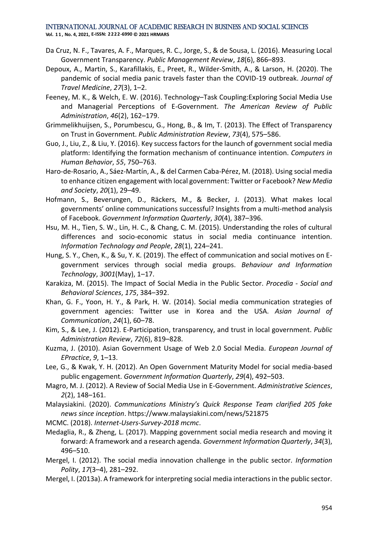**Vol. 1 1 , No. 4, 2021, E-ISSN: 2222-6990 © 2021 HRMARS**

- Da Cruz, N. F., Tavares, A. F., Marques, R. C., Jorge, S., & de Sousa, L. (2016). Measuring Local Government Transparency. *Public Management Review*, *18*(6), 866–893.
- Depoux, A., Martin, S., Karafillakis, E., Preet, R., Wilder-Smith, A., & Larson, H. (2020). The pandemic of social media panic travels faster than the COVID-19 outbreak. *Journal of Travel Medicine*, *27*(3), 1–2.
- Feeney, M. K., & Welch, E. W. (2016). Technology–Task Coupling:Exploring Social Media Use and Managerial Perceptions of E-Government. *The American Review of Public Administration*, *46*(2), 162–179.
- Grimmelikhuijsen, S., Porumbescu, G., Hong, B., & Im, T. (2013). The Effect of Transparency on Trust in Government. *Public Administration Review*, *73*(4), 575–586.
- Guo, J., Liu, Z., & Liu, Y. (2016). Key success factors for the launch of government social media platform: Identifying the formation mechanism of continuance intention. *Computers in Human Behavior*, *55*, 750–763.
- Haro-de-Rosario, A., Sáez-Martín, A., & del Carmen Caba-Pérez, M. (2018). Using social media to enhance citizen engagement with local government: Twitter or Facebook? *New Media and Society*, *20*(1), 29–49.
- Hofmann, S., Beverungen, D., Räckers, M., & Becker, J. (2013). What makes local governments' online communications successful? Insights from a multi-method analysis of Facebook. *Government Information Quarterly*, *30*(4), 387–396.
- Hsu, M. H., Tien, S. W., Lin, H. C., & Chang, C. M. (2015). Understanding the roles of cultural differences and socio-economic status in social media continuance intention. *Information Technology and People*, *28*(1), 224–241.
- Hung, S. Y., Chen, K., & Su, Y. K. (2019). The effect of communication and social motives on Egovernment services through social media groups. *Behaviour and Information Technology*, *3001*(May), 1–17.
- Karakiza, M. (2015). The Impact of Social Media in the Public Sector. *Procedia - Social and Behavioral Sciences*, *175*, 384–392.
- Khan, G. F., Yoon, H. Y., & Park, H. W. (2014). Social media communication strategies of government agencies: Twitter use in Korea and the USA. *Asian Journal of Communication*, *24*(1), 60–78.
- Kim, S., & Lee, J. (2012). E-Participation, transparency, and trust in local government. *Public Administration Review*, *72*(6), 819–828.
- Kuzma, J. (2010). Asian Government Usage of Web 2.0 Social Media. *European Journal of EPractice*, *9*, 1–13.
- Lee, G., & Kwak, Y. H. (2012). An Open Government Maturity Model for social media-based public engagement. *Government Information Quarterly*, *29*(4), 492–503.
- Magro, M. J. (2012). A Review of Social Media Use in E-Government. *Administrative Sciences*, *2*(2), 148–161.
- Malaysiakini. (2020). *Communications Ministry's Quick Response Team clarified 205 fake news since inception*. https://www.malaysiakini.com/news/521875

MCMC. (2018). *Internet-Users-Survey-2018 mcmc*.

- Medaglia, R., & Zheng, L. (2017). Mapping government social media research and moving it forward: A framework and a research agenda. *Government Information Quarterly*, *34*(3), 496–510.
- Mergel, I. (2012). The social media innovation challenge in the public sector. *Information Polity*, *17*(3–4), 281–292.
- Mergel, I. (2013a). A framework for interpreting social media interactions in the public sector.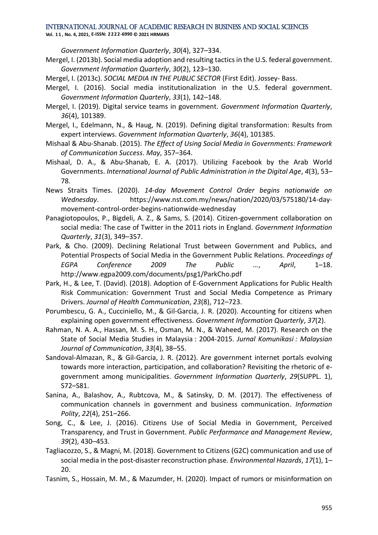**Vol. 1 1 , No. 4, 2021, E-ISSN: 2222-6990 © 2021 HRMARS**

*Government Information Quarterly*, *30*(4), 327–334.

- Mergel, I. (2013b). Social media adoption and resulting tactics in the U.S. federal government. *Government Information Quarterly*, *30*(2), 123–130.
- Mergel, I. (2013c). *SOCIAL MEDIA IN THE PUBLIC SECTOR* (First Edit). Jossey- Bass.
- Mergel, I. (2016). Social media institutionalization in the U.S. federal government. *Government Information Quarterly*, *33*(1), 142–148.
- Mergel, I. (2019). Digital service teams in government. *Government Information Quarterly*, *36*(4), 101389.
- Mergel, I., Edelmann, N., & Haug, N. (2019). Defining digital transformation: Results from expert interviews. *Government Information Quarterly*, *36*(4), 101385.
- Mishaal & Abu-Shanab. (2015). *The Effect of Using Social Media in Governments: Framework of Communication Success*. *May*, 357–364.
- Mishaal, D. A., & Abu-Shanab, E. A. (2017). Utilizing Facebook by the Arab World Governments. *International Journal of Public Administration in the Digital Age*, *4*(3), 53– 78.
- News Straits Times. (2020). *14-day Movement Control Order begins nationwide on Wednesday*. https://www.nst.com.my/news/nation/2020/03/575180/14-daymovement-control-order-begins-nationwide-wednesday
- Panagiotopoulos, P., Bigdeli, A. Z., & Sams, S. (2014). Citizen-government collaboration on social media: The case of Twitter in the 2011 riots in England. *Government Information Quarterly*, *31*(3), 349–357.
- Park, & Cho. (2009). Declining Relational Trust between Government and Publics, and Potential Prospects of Social Media in the Government Public Relations. *Proceedings of EGPA Conference 2009 The Public …*, *April*, 1–18. http://www.egpa2009.com/documents/psg1/ParkCho.pdf
- Park, H., & Lee, T. (David). (2018). Adoption of E-Government Applications for Public Health Risk Communication: Government Trust and Social Media Competence as Primary Drivers. *Journal of Health Communication*, *23*(8), 712–723.
- Porumbescu, G. A., Cucciniello, M., & Gil-Garcia, J. R. (2020). Accounting for citizens when explaining open government effectiveness. *Government Information Quarterly*, *37*(2).
- Rahman, N. A. A., Hassan, M. S. H., Osman, M. N., & Waheed, M. (2017). Research on the State of Social Media Studies in Malaysia : 2004-2015. *Jurnal Komunikasi : Malaysian Journal of Communication*, *33*(4), 38–55.
- Sandoval-Almazan, R., & Gil-Garcia, J. R. (2012). Are government internet portals evolving towards more interaction, participation, and collaboration? Revisiting the rhetoric of egovernment among municipalities. *Government Information Quarterly*, *29*(SUPPL. 1), S72–S81.
- Sanina, A., Balashov, A., Rubtcova, M., & Satinsky, D. M. (2017). The effectiveness of communication channels in government and business communication. *Information Polity*, *22*(4), 251–266.
- Song, C., & Lee, J. (2016). Citizens Use of Social Media in Government, Perceived Transparency, and Trust in Government. *Public Performance and Management Review*, *39*(2), 430–453.
- Tagliacozzo, S., & Magni, M. (2018). Government to Citizens (G2C) communication and use of social media in the post-disaster reconstruction phase. *Environmental Hazards*, *17*(1), 1– 20.
- Tasnim, S., Hossain, M. M., & Mazumder, H. (2020). Impact of rumors or misinformation on